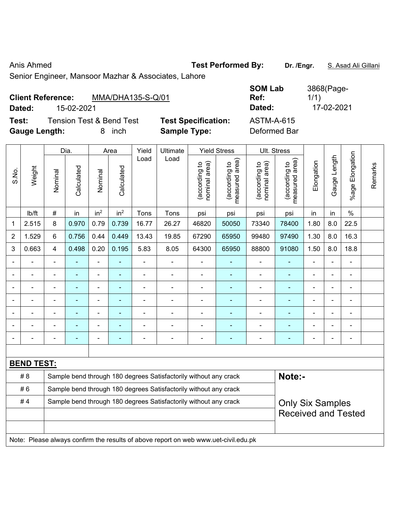Anis Ahmed **Test Performed By:** Dr. /Engr. **S. Asad Ali Gillani** 

Senior Engineer, Mansoor Mazhar & Associates, Lahore

| <b>Client Reference:</b> |            | MMA/DHA135-S-Q/01                   |                            | <b>SUMLAD</b><br>Ref: | 3000(Fa)<br>1/1) |
|--------------------------|------------|-------------------------------------|----------------------------|-----------------------|------------------|
| Dated:                   | 15-02-2021 |                                     |                            | Dated:                | 17-02-2021       |
| Test:                    |            | <b>Tension Test &amp; Bend Test</b> | <b>Test Specification:</b> | ASTM-A-615            |                  |
| <b>Gauge Length:</b>     |            | inch                                | <b>Sample Type:</b>        | Deformed Bar          |                  |

| <b>SOM Lab</b> | 3868(Page- |
|----------------|------------|
| Ref:           | 1/1)       |
| Dated:         | 17-02-2021 |
| ASTM-A-615     |            |

|                |                   |                                                                  | Dia.           |                          | Area            | Yield          | Ultimate                                                                            |                                | <b>Yield Stress</b>             |                                | Ult. Stress                                 |                         |                |                       |         |
|----------------|-------------------|------------------------------------------------------------------|----------------|--------------------------|-----------------|----------------|-------------------------------------------------------------------------------------|--------------------------------|---------------------------------|--------------------------------|---------------------------------------------|-------------------------|----------------|-----------------------|---------|
| S.No.          | Weight            | Nominal                                                          | Calculated     | Nominal                  | Calculated      | Load           | Load                                                                                | nominal area)<br>(according to | (according to<br>measured area) | nominal area)<br>(according to | (according to<br>measured area)<br>measured | Elongation              | Gauge Length   | Elongation<br>$%$ age | Remarks |
|                | Ib/ft             | $\#$                                                             | in             | in <sup>2</sup>          | in <sup>2</sup> | Tons           | Tons                                                                                | psi                            | psi                             | psi                            | psi                                         | in                      | in             | $\%$                  |         |
| 1              | 2.515             | 8                                                                | 0.970          | 0.79                     | 0.739           | 16.77          | 26.27                                                                               | 46820                          | 50050                           | 73340                          | 78400                                       | 1.80                    | 8.0            | 22.5                  |         |
| $\overline{2}$ | 1.529             | 6                                                                | 0.756          | 0.44                     | 0.449           | 13.43          | 19.85                                                                               | 67290                          | 65950                           | 99480                          | 97490                                       | 1.30                    | 8.0            | 16.3                  |         |
| 3              | 0.663             | $\overline{4}$                                                   | 0.498          | 0.20                     | 0.195           | 5.83           | 8.05                                                                                | 64300                          | 65950                           | 88800                          | 91080                                       | 1.50                    | 8.0            | 18.8                  |         |
|                |                   | $\blacksquare$                                                   |                | ÷,                       | $\blacksquare$  | ä,             | $\blacksquare$                                                                      | $\overline{\phantom{a}}$       | $\blacksquare$                  | $\overline{a}$                 | $\blacksquare$                              | ÷                       | $\blacksquare$ | $\blacksquare$        |         |
|                |                   |                                                                  |                | ÷,                       | $\blacksquare$  | ÷              | ÷                                                                                   | $\overline{\phantom{a}}$       | $\blacksquare$                  | $\overline{a}$                 | $\blacksquare$                              | -                       |                | $\blacksquare$        |         |
|                |                   | $\blacksquare$                                                   | ä,             | ä,                       | ۰               | ä,             | ä,                                                                                  | $\blacksquare$                 | ۰                               | $\blacksquare$                 | $\blacksquare$                              | $\blacksquare$          |                | ä,                    |         |
|                | $\blacksquare$    | $\blacksquare$                                                   | $\blacksquare$ | $\overline{\phantom{0}}$ | ٠               | $\blacksquare$ | $\blacksquare$                                                                      | $\overline{\phantom{a}}$       | ٠                               | $\overline{\phantom{a}}$       | $\blacksquare$                              | $\blacksquare$          | $\blacksquare$ | $\blacksquare$        |         |
|                | $\blacksquare$    | $\blacksquare$                                                   | $\blacksquare$ | $\blacksquare$           | ۰               | ä,             | $\blacksquare$                                                                      | $\blacksquare$                 | ۰                               | $\blacksquare$                 | $\blacksquare$                              | L,                      |                | ä,                    |         |
|                |                   |                                                                  | $\blacksquare$ | ÷                        | ۰               | ÷              | $\blacksquare$                                                                      | $\blacksquare$                 | ٠                               | $\overline{a}$                 | $\blacksquare$                              | ÷                       |                | $\blacksquare$        |         |
|                |                   |                                                                  |                | ä,                       |                 |                | Ē,                                                                                  | $\overline{a}$                 |                                 | ÷,                             | ä,                                          | L,                      |                | $\blacksquare$        |         |
|                |                   |                                                                  |                |                          |                 |                |                                                                                     |                                |                                 |                                |                                             |                         |                |                       |         |
|                | <b>BEND TEST:</b> |                                                                  |                |                          |                 |                |                                                                                     |                                |                                 |                                |                                             |                         |                |                       |         |
|                | #8                |                                                                  |                |                          |                 |                | Sample bend through 180 degrees Satisfactorily without any crack                    |                                |                                 |                                | Note:-                                      |                         |                |                       |         |
|                | #6                |                                                                  |                |                          |                 |                | Sample bend through 180 degrees Satisfactorily without any crack                    |                                |                                 |                                |                                             |                         |                |                       |         |
|                | #4                | Sample bend through 180 degrees Satisfactorily without any crack |                |                          |                 |                |                                                                                     |                                |                                 |                                |                                             | <b>Only Six Samples</b> |                |                       |         |
|                |                   |                                                                  |                |                          |                 |                |                                                                                     |                                |                                 |                                | <b>Received and Tested</b>                  |                         |                |                       |         |
|                |                   |                                                                  |                |                          |                 |                |                                                                                     |                                |                                 |                                |                                             |                         |                |                       |         |
|                |                   |                                                                  |                |                          |                 |                | Note: Please always confirm the results of above report on web www.uet-civil.edu.pk |                                |                                 |                                |                                             |                         |                |                       |         |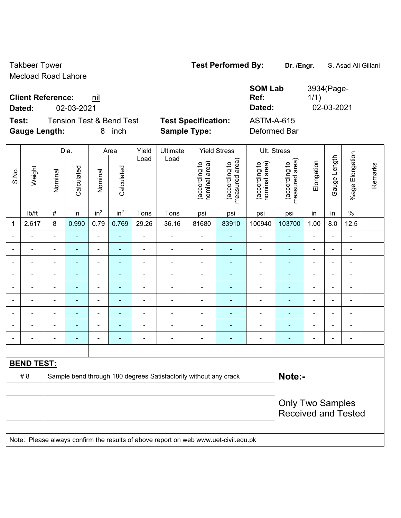Takbeer Tpwer **Test Performed By:** Dr. /Engr. S. Asad Ali Gillani Mecload Road Lahore

**Client Reference: nil** 

**Dated:** 02-03-2021 **Dated:** 02-03-2021

**Test:** Tension Test & Bend Test **Test Specification:** ASTM-A-615 **Gauge Length:** 8 inch **Sample Type:** Deformed Bar

**SOM Lab Ref:** 

|       |                   |                | Dia.           |                          | Area            | Yield          | Ultimate                                                                            |                                | <b>Yield Stress</b>             |                                | Ult. Stress                     |                          |                |                              |         |
|-------|-------------------|----------------|----------------|--------------------------|-----------------|----------------|-------------------------------------------------------------------------------------|--------------------------------|---------------------------------|--------------------------------|---------------------------------|--------------------------|----------------|------------------------------|---------|
| S.No. | Weight            | Nominal        | Calculated     | Nominal                  | Calculated      | Load           | Load                                                                                | (according to<br>nominal area) | (according to<br>measured area) | (according to<br>nominal area) | measured area)<br>(according to | Elongation               | Gauge Length   | Elongation<br>$%$ age        | Remarks |
|       | lb/ft             | $\#$           | in             | in <sup>2</sup>          | in <sup>2</sup> | Tons           | Tons                                                                                | psi                            | psi                             | psi                            | psi                             | in                       | in             | $\%$                         |         |
| 1     | 2.617             | $\,8\,$        | 0.990          | 0.79                     | 0.769           | 29.26          | 36.16                                                                               | 81680                          | 83910                           | 100940                         | 103700                          | 1.00                     | 8.0            | 12.5                         |         |
|       |                   | ä,             | ä,             | $\blacksquare$           | $\blacksquare$  | $\blacksquare$ | ä,                                                                                  | $\blacksquare$                 | ÷                               | $\blacksquare$                 | $\blacksquare$                  | $\blacksquare$           |                | $\blacksquare$               |         |
|       |                   | $\blacksquare$ | $\blacksquare$ | ÷,                       | ÷               | $\blacksquare$ | $\blacksquare$                                                                      | $\blacksquare$                 | $\blacksquare$                  | $\blacksquare$                 | $\blacksquare$                  | $\blacksquare$           |                | $\overline{\phantom{a}}$     |         |
|       |                   |                |                | $\blacksquare$           |                 |                |                                                                                     | $\blacksquare$                 | ۰                               | Ē,                             | $\blacksquare$                  | $\blacksquare$           |                | $\blacksquare$               |         |
|       |                   | $\blacksquare$ | $\blacksquare$ | $\blacksquare$           | ۰               | ۰              | $\blacksquare$                                                                      | $\overline{a}$                 | ۰                               | $\blacksquare$                 | $\overline{\phantom{0}}$        | $\blacksquare$           | $\blacksquare$ | $\qquad \qquad \blacksquare$ |         |
|       |                   | $\blacksquare$ |                | $\blacksquare$           | ä,              | $\blacksquare$ | $\blacksquare$                                                                      | $\blacksquare$                 | ÷                               | Ē,                             | $\blacksquare$                  | $\overline{\phantom{a}}$ |                | $\blacksquare$               |         |
|       | $\blacksquare$    | ä,             | $\blacksquare$ | $\blacksquare$           | $\blacksquare$  | $\blacksquare$ | ä,                                                                                  | ä,                             | ÷                               | $\blacksquare$                 | ÷,                              | $\blacksquare$           |                | $\blacksquare$               |         |
|       |                   | $\blacksquare$ |                | $\blacksquare$           | ä,              | ÷              |                                                                                     | $\blacksquare$                 | ÷                               | Ē,                             | $\blacksquare$                  | $\blacksquare$           |                | $\blacksquare$               |         |
|       |                   |                |                | $\overline{\phantom{0}}$ |                 |                |                                                                                     | $\blacksquare$                 |                                 |                                |                                 |                          |                | $\blacksquare$               |         |
|       |                   | $\blacksquare$ | $\blacksquare$ | $\blacksquare$           | ÷               | $\blacksquare$ | $\blacksquare$                                                                      | $\blacksquare$                 | ۰                               | $\blacksquare$                 | $\overline{a}$                  | $\overline{\phantom{0}}$ | $\blacksquare$ | $\blacksquare$               |         |
|       |                   |                |                |                          |                 |                |                                                                                     |                                |                                 |                                |                                 |                          |                |                              |         |
|       | <b>BEND TEST:</b> |                |                |                          |                 |                |                                                                                     |                                |                                 |                                |                                 |                          |                |                              |         |
|       | #8                |                |                |                          |                 |                | Sample bend through 180 degrees Satisfactorily without any crack                    |                                |                                 |                                | Note:-                          |                          |                |                              |         |
|       |                   |                |                |                          |                 |                |                                                                                     |                                |                                 |                                |                                 |                          |                |                              |         |
|       |                   |                |                |                          |                 |                | <b>Only Two Samples</b>                                                             |                                |                                 |                                |                                 |                          |                |                              |         |
|       |                   |                |                |                          |                 |                |                                                                                     |                                |                                 |                                | <b>Received and Tested</b>      |                          |                |                              |         |
|       |                   |                |                |                          |                 |                |                                                                                     |                                |                                 |                                |                                 |                          |                |                              |         |
|       |                   |                |                |                          |                 |                | Note: Please always confirm the results of above report on web www.uet-civil.edu.pk |                                |                                 |                                |                                 |                          |                |                              |         |

3934(Page-

1/1)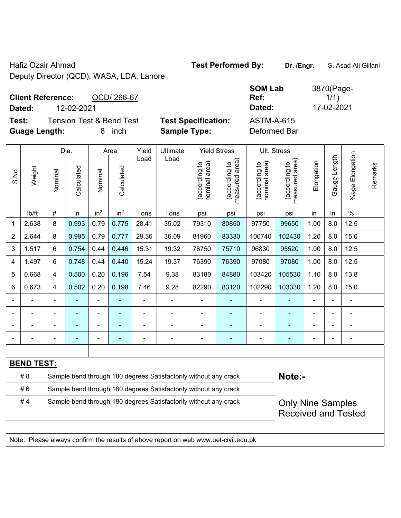Hafiz Ozair Ahmad **Test Performed By:** Dr. /Engr. **S. Asad Ali Gillani** Deputy Director (QCD), WASA, LDA, Lahore

| <b>Client Reference:</b> | QCD/266-67 | Ref:   | 1/1)       |
|--------------------------|------------|--------|------------|
| Dated:                   | 12-02-2021 | Dated: | 17-02-2021 |

**Test:** Tension Test & Bend Test **Test Specification:** ASTM-A-615 **Guage Length:** 8 inch **Sample Type:** Deformed Bar

**SOM Lab Ref:**  3870(Page- $1/1)$ 

|                |                   | Yield                                          |       |                 |                                                                  |                                 |                                                                                     |                                 |                          |                |                       |                            |                |                |  |  |
|----------------|-------------------|------------------------------------------------|-------|-----------------|------------------------------------------------------------------|---------------------------------|-------------------------------------------------------------------------------------|---------------------------------|--------------------------|----------------|-----------------------|----------------------------|----------------|----------------|--|--|
|                |                   |                                                | Dia.  |                 | Area                                                             |                                 | Ultimate                                                                            |                                 | <b>Yield Stress</b>      | Ult. Stress    |                       |                            |                |                |  |  |
| S.No.          | Weight            | Calculated<br>Calculated<br>Nominal<br>Nominal | Load  | Load            | nominal area)<br>(according to                                   | (according to<br>measured area) | nominal area)<br>(according to                                                      | (according to<br>measured area) | Elongation               | Gauge Length   | Elongation<br>$%$ age | Remarks                    |                |                |  |  |
|                | Ib/ft             | $\#$                                           | in    | in <sup>2</sup> | in <sup>2</sup>                                                  | Tons                            | Tons                                                                                | psi                             | psi                      | psi            | psi                   | in                         | in             | $\frac{0}{0}$  |  |  |
| $\mathbf 1$    | 2.638             | 8                                              | 0.993 | 0.79            | 0.775                                                            | 28.41                           | 35.02                                                                               | 79310                           | 80850                    | 97750          | 99650                 | 1.00                       | 8.0            | 12.5           |  |  |
| $\overline{2}$ | 2.644             | 8                                              | 0.995 | 0.79            | 0.777                                                            | 29.36                           | 36.09                                                                               | 81960                           | 83330                    | 100740         | 102430                | 1.20                       | 8.0            | 15.0           |  |  |
| 3              | 1.517             | $6\phantom{1}$                                 | 0.754 | 0.44            | 0.446                                                            | 15.31                           | 19.32                                                                               | 76750                           | 75710                    | 96830          | 95520                 | 1.00                       | 8.0            | 12.5           |  |  |
| 4              | 1.497             | $6\phantom{1}$                                 | 0.748 | 0.44            | 0.440                                                            | 15.24                           | 19.37                                                                               | 76390                           | 76390                    | 97080          | 97080                 | 1.00                       | 8.0            | 12.5           |  |  |
| 5              | 0.668             | $\overline{4}$                                 | 0.500 | 0.20            | 0.196                                                            | 7.54                            | 9.38                                                                                | 83180                           | 84880                    | 103420         | 105530                | 1.10                       | 8.0            | 13.8           |  |  |
| 6              | 0.673             | $\overline{4}$                                 | 0.502 | 0.20            | 0.198                                                            | 7.46                            | 9.28                                                                                | 82290                           | 83120                    | 102290         | 103330                | 1.20                       | 8.0            | 15.0           |  |  |
|                |                   |                                                |       | ä,              |                                                                  |                                 | ÷,                                                                                  |                                 |                          |                | $\blacksquare$        |                            |                |                |  |  |
|                |                   |                                                |       |                 |                                                                  |                                 | ÷                                                                                   |                                 |                          |                |                       |                            |                |                |  |  |
|                |                   | $\blacksquare$                                 |       | ۰               |                                                                  |                                 | $\blacksquare$                                                                      | $\blacksquare$                  | $\blacksquare$           |                |                       |                            | $\blacksquare$ | $\blacksquare$ |  |  |
|                |                   | $\blacksquare$                                 |       | ۰               | $\overline{a}$                                                   |                                 | ÷                                                                                   | $\blacksquare$                  | $\overline{\phantom{0}}$ | $\blacksquare$ | ٠                     |                            |                | $\blacksquare$ |  |  |
|                |                   |                                                |       |                 |                                                                  |                                 |                                                                                     |                                 |                          |                |                       |                            |                |                |  |  |
|                | <b>BEND TEST:</b> |                                                |       |                 |                                                                  |                                 |                                                                                     |                                 |                          |                |                       |                            |                |                |  |  |
|                | #8                |                                                |       |                 |                                                                  |                                 | Sample bend through 180 degrees Satisfactorily without any crack                    |                                 |                          |                | Note:-                |                            |                |                |  |  |
|                | #6                |                                                |       |                 |                                                                  |                                 | Sample bend through 180 degrees Satisfactorily without any crack                    |                                 |                          |                |                       |                            |                |                |  |  |
|                | #4                |                                                |       |                 | Sample bend through 180 degrees Satisfactorily without any crack |                                 | <b>Only Nine Samples</b>                                                            |                                 |                          |                |                       |                            |                |                |  |  |
|                |                   |                                                |       |                 |                                                                  |                                 |                                                                                     |                                 |                          |                |                       | <b>Received and Tested</b> |                |                |  |  |
|                |                   |                                                |       |                 |                                                                  |                                 |                                                                                     |                                 |                          |                |                       |                            |                |                |  |  |
|                |                   |                                                |       |                 |                                                                  |                                 | Note: Please always confirm the results of above report on web www.uet-civil.edu.pk |                                 |                          |                |                       |                            |                |                |  |  |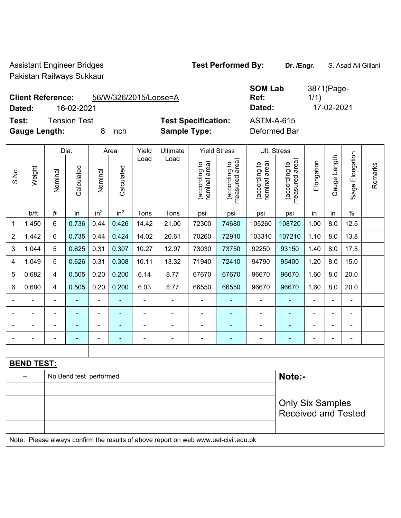Assistant Engineer Bridges **Test Performed By:** Dr. /Engr. **S. Asad Ali Gillani** Pakistan Railways Sukkaur

**Client Reference:** 56/W/326/2015/Loose=A

**Dated:** 16-02-2021 **Dated:** 17-02-2021

**Test:** Tension Test **Test Specification:** 

**Gauge Length:** 8 inch **Sample Type:** Deformed Bar

| <b>SOM Lab</b>    | 3871(Page- |
|-------------------|------------|
| Ref:              | 1/1)       |
| Dated:            | 17-02-2021 |
| <b>ASTM-A-615</b> |            |
|                   |            |

|                |                          |                | Dia.                   |                 | Area            |                | Yield<br>Ultimate                                                                   |                                | <b>Yield Stress</b>             |                                | Ult. Stress                     |                |                |                         |         |
|----------------|--------------------------|----------------|------------------------|-----------------|-----------------|----------------|-------------------------------------------------------------------------------------|--------------------------------|---------------------------------|--------------------------------|---------------------------------|----------------|----------------|-------------------------|---------|
| S.No.          | Weight                   | Nominal        | Calculated             | Nominal         | Calculated      | Load           | Load                                                                                | nominal area)<br>(according to | (according to<br>measured area) | nominal area)<br>(according to | (according to<br>measured area) | Elongation     | Gauge Length   | Elongation<br>$%$ age I | Remarks |
|                | lb/ft                    | $\#$           | in                     | in <sup>2</sup> | in <sup>2</sup> | Tons           | Tons                                                                                | psi                            | psi                             | psi                            | psi                             | in             | in             | $\frac{0}{0}$           |         |
| 1              | 1.450                    | $6\phantom{1}$ | 0.736                  | 0.44            | 0.426           | 14.42          | 21.00                                                                               | 72300                          | 74680                           | 105260                         | 108720                          | 1.00           | 8.0            | 12.5                    |         |
| $\overline{2}$ | 1.442                    | 6              | 0.735                  | 0.44            | 0.424           | 14.02          | 20.61                                                                               | 70260                          | 72910                           | 103310                         | 107210                          | 1.10           | 8.0            | 13.8                    |         |
| 3              | 1.044                    | 5              | 0.625                  | 0.31            | 0.307           | 10.27          | 12.97                                                                               | 73030                          | 73750                           | 92250                          | 93150                           | 1.40           | 8.0            | 17.5                    |         |
| 4              | 1.049                    | 5              | 0.626                  | 0.31            | 0.308           | 10.11          | 13.32                                                                               | 71940                          | 72410                           | 94790                          | 95400                           | 1.20           | 8.0            | 15.0                    |         |
| 5              | 0.682                    | $\overline{4}$ | 0.505                  | 0.20            | 0.200           | 6.14           | 8.77                                                                                | 67670                          | 67670                           | 96670                          | 96670                           | 1.60           | 8.0            | 20.0                    |         |
| 6              | 0.680                    | $\overline{4}$ | 0.505                  | 0.20            | 0.200           | 6.03           | 8.77                                                                                | 66550                          | 66550                           | 96670                          | 96670                           | 1.60           | 8.0            | 20.0                    |         |
| $\blacksquare$ | $\blacksquare$           | $\blacksquare$ | $\blacksquare$         | $\blacksquare$  |                 | $\blacksquare$ | $\blacksquare$                                                                      | $\blacksquare$                 | $\blacksquare$                  | $\overline{\phantom{a}}$       | $\blacksquare$                  | $\blacksquare$ | $\blacksquare$ | ä,                      |         |
| $\blacksquare$ | $\overline{\phantom{0}}$ | $\blacksquare$ | $\frac{1}{2}$          | ä,              | ÷               | ä,             | $\blacksquare$                                                                      | $\blacksquare$                 | $\blacksquare$                  | ä,                             | ÷                               | $\blacksquare$ | $\blacksquare$ | $\blacksquare$          |         |
|                |                          |                | L,                     | ä,              |                 | ä,             | $\blacksquare$                                                                      | $\blacksquare$                 | $\blacksquare$                  | ä,                             | ÷,                              |                |                | $\blacksquare$          |         |
|                |                          |                |                        |                 | $\blacksquare$  | $\blacksquare$ | $\blacksquare$                                                                      |                                | ٠                               | -                              | ٠                               |                |                | $\blacksquare$          |         |
|                |                          |                |                        |                 |                 |                |                                                                                     |                                |                                 |                                |                                 |                |                |                         |         |
|                | <b>BEND TEST:</b>        |                |                        |                 |                 |                |                                                                                     |                                |                                 |                                |                                 |                |                |                         |         |
|                |                          |                | No Bend test performed |                 |                 |                |                                                                                     |                                |                                 |                                | Note:-                          |                |                |                         |         |
|                |                          |                |                        |                 |                 |                |                                                                                     |                                |                                 |                                |                                 |                |                |                         |         |
|                |                          |                |                        |                 |                 |                | <b>Only Six Samples</b>                                                             |                                |                                 |                                |                                 |                |                |                         |         |
|                |                          |                |                        |                 |                 |                |                                                                                     |                                |                                 |                                | <b>Received and Tested</b>      |                |                |                         |         |
|                |                          |                |                        |                 |                 |                | Note: Please always confirm the results of above report on web www.uet-civil.edu.pk |                                |                                 |                                |                                 |                |                |                         |         |